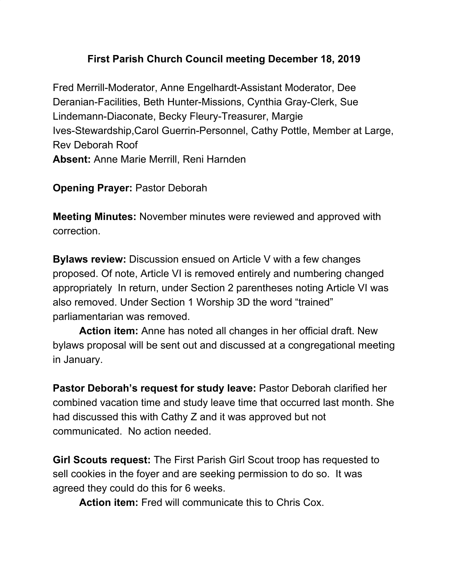## **First Parish Church Council meeting December 18, 2019**

Fred Merrill-Moderator, Anne Engelhardt-Assistant Moderator, Dee Deranian-Facilities, Beth Hunter-Missions, Cynthia Gray-Clerk, Sue Lindemann-Diaconate, Becky Fleury-Treasurer, Margie Ives-Stewardship,Carol Guerrin-Personnel, Cathy Pottle, Member at Large, Rev Deborah Roof **Absent:** Anne Marie Merrill, Reni Harnden

**Opening Prayer:** Pastor Deborah

**Meeting Minutes:** November minutes were reviewed and approved with correction.

**Bylaws review:** Discussion ensued on Article V with a few changes proposed. Of note, Article VI is removed entirely and numbering changed appropriately In return, under Section 2 parentheses noting Article VI was also removed. Under Section 1 Worship 3D the word "trained" parliamentarian was removed.

**Action item:** Anne has noted all changes in her official draft. New bylaws proposal will be sent out and discussed at a congregational meeting in January.

**Pastor Deborah's request for study leave:** Pastor Deborah clarified her combined vacation time and study leave time that occurred last month. She had discussed this with Cathy Z and it was approved but not communicated. No action needed.

**Girl Scouts request:** The First Parish Girl Scout troop has requested to sell cookies in the foyer and are seeking permission to do so. It was agreed they could do this for 6 weeks.

**Action item:** Fred will communicate this to Chris Cox.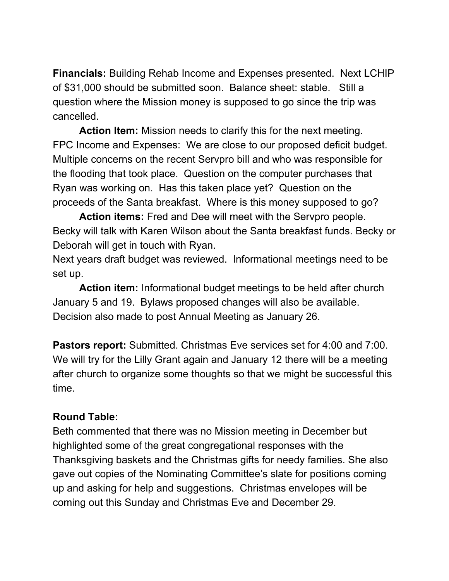**Financials:** Building Rehab Income and Expenses presented. Next LCHIP of \$31,000 should be submitted soon. Balance sheet: stable. Still a question where the Mission money is supposed to go since the trip was cancelled.

**Action Item:** Mission needs to clarify this for the next meeting. FPC Income and Expenses: We are close to our proposed deficit budget. Multiple concerns on the recent Servpro bill and who was responsible for the flooding that took place. Question on the computer purchases that Ryan was working on. Has this taken place yet? Question on the proceeds of the Santa breakfast. Where is this money supposed to go?

**Action items:** Fred and Dee will meet with the Servpro people. Becky will talk with Karen Wilson about the Santa breakfast funds. Becky or Deborah will get in touch with Ryan.

Next years draft budget was reviewed. Informational meetings need to be set up.

**Action item:** Informational budget meetings to be held after church January 5 and 19. Bylaws proposed changes will also be available. Decision also made to post Annual Meeting as January 26.

**Pastors report:** Submitted. Christmas Eve services set for 4:00 and 7:00. We will try for the Lilly Grant again and January 12 there will be a meeting after church to organize some thoughts so that we might be successful this time.

## **Round Table:**

Beth commented that there was no Mission meeting in December but highlighted some of the great congregational responses with the Thanksgiving baskets and the Christmas gifts for needy families. She also gave out copies of the Nominating Committee's slate for positions coming up and asking for help and suggestions. Christmas envelopes will be coming out this Sunday and Christmas Eve and December 29.